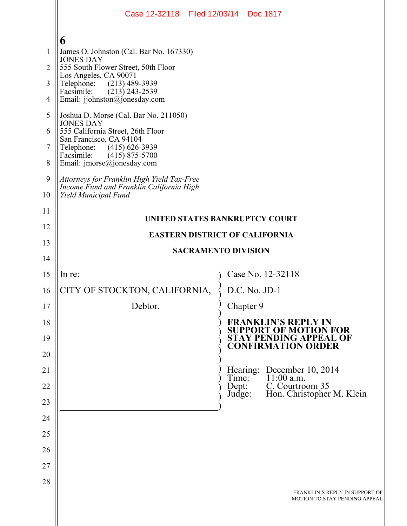|                | Case 12-32118 Filed 12/03/14 Doc 1817                                                  |                                                                                      |
|----------------|----------------------------------------------------------------------------------------|--------------------------------------------------------------------------------------|
|                | 6                                                                                      |                                                                                      |
| 1              | James O. Johnston (Cal. Bar No. 167330)<br><b>JONES DAY</b>                            |                                                                                      |
| $\overline{2}$ | 555 South Flower Street, 50th Floor<br>Los Angeles, CA 90071                           |                                                                                      |
| 3              | $(213)$ 489-3939<br>Telephone:<br>Facsimile:<br>$(213)$ 243-2539                       |                                                                                      |
| 4              | Email: jjohnston@jonesday.com                                                          |                                                                                      |
| 5              | Joshua D. Morse (Cal. Bar No. 211050)<br><b>JONES DAY</b>                              |                                                                                      |
| 6              | 555 California Street, 26th Floor<br>San Francisco, CA 94104                           |                                                                                      |
| 7              | $(415)$ 626-3939<br>Telephone:<br>$(415)$ 875-5700<br>Facsimile:                       |                                                                                      |
| 8              | Email: $\text{imorse}(a)$ jonesday.com                                                 |                                                                                      |
| 9              | Attorneys for Franklin High Yield Tax-Free<br>Income Fund and Franklin California High |                                                                                      |
| 10             | Yield Municipal Fund                                                                   |                                                                                      |
| 11             |                                                                                        | UNITED STATES BANKRUPTCY COURT                                                       |
| 12             | <b>EASTERN DISTRICT OF CALIFORNIA</b>                                                  |                                                                                      |
| 13             | <b>SACRAMENTO DIVISION</b>                                                             |                                                                                      |
| 14             |                                                                                        |                                                                                      |
| 15             | In re:                                                                                 | Case No. 12-32118                                                                    |
| 16             | CITY OF STOCKTON, CALIFORNIA,                                                          | D.C. No. JD-1                                                                        |
| 17             | Debtor.                                                                                | Chapter 9                                                                            |
| 18             |                                                                                        | <b>FRANKLIN'S REPLY IN</b><br><b>SUPPORT OF MOTION FOR</b><br>STAY PENDING APPEAL OF |
| 19<br>20       |                                                                                        | <b>CONFIRMATION ORDER</b>                                                            |
| 21             |                                                                                        |                                                                                      |
| 22             |                                                                                        | Hearing: December 10, 2014<br>Time: 11:00 a.m.<br>C, Courtroom 35<br>Dept:           |
| 23             |                                                                                        | Hon. Christopher M. Klein<br>Judge:                                                  |
| 24             |                                                                                        |                                                                                      |
| 25             |                                                                                        |                                                                                      |
| 26             |                                                                                        |                                                                                      |
| 27             |                                                                                        |                                                                                      |
| 28             |                                                                                        |                                                                                      |
|                |                                                                                        | FRANKLIN'S REPLY IN SUPPORT OF<br>MOTION TO STAY PENDING APPEAL                      |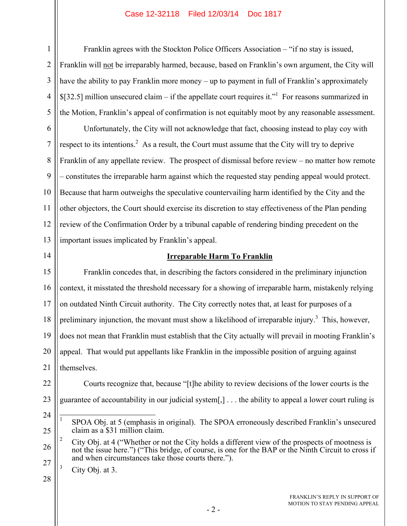Franklin agrees with the Stockton Police Officers Association – "if no stay is issued, Franklin will not be irreparably harmed, because, based on Franklin's own argument, the City will have the ability to pay Franklin more money – up to payment in full of Franklin's approximately  $$[32.5]$  million unsecured claim – if the appellate court requires it."<sup>1</sup> For reasons summarized in the Motion, Franklin's appeal of confirmation is not equitably moot by any reasonable assessment.

6 7 8 9 10 11 12 13 Unfortunately, the City will not acknowledge that fact, choosing instead to play coy with respect to its intentions.<sup>2</sup> As a result, the Court must assume that the City will try to deprive Franklin of any appellate review. The prospect of dismissal before review – no matter how remote – constitutes the irreparable harm against which the requested stay pending appeal would protect. Because that harm outweighs the speculative countervailing harm identified by the City and the other objectors, the Court should exercise its discretion to stay effectiveness of the Plan pending review of the Confirmation Order by a tribunal capable of rendering binding precedent on the important issues implicated by Franklin's appeal.

14

1

2

3

4

5

## **Irreparable Harm To Franklin**

15 16 17 18 19 20 21 Franklin concedes that, in describing the factors considered in the preliminary injunction context, it misstated the threshold necessary for a showing of irreparable harm, mistakenly relying on outdated Ninth Circuit authority. The City correctly notes that, at least for purposes of a preliminary injunction, the movant must show a likelihood of irreparable injury.<sup>3</sup> This, however, does not mean that Franklin must establish that the City actually will prevail in mooting Franklin's appeal. That would put appellants like Franklin in the impossible position of arguing against themselves.

22 23 Courts recognize that, because "[t]he ability to review decisions of the lower courts is the guarantee of accountability in our judicial system[,] . . . the ability to appeal a lower court ruling is

- 24 25  $\frac{1}{1}$  SPOA Obj. at 5 (emphasis in original). The SPOA erroneously described Franklin's unsecured claim as a \$31 million claim.
- 26 27 2 City Obj. at 4 ("Whether or not the City holds a different view of the prospects of mootness is not the issue here.") ("This bridge, of course, is one for the BAP or the Ninth Circuit to cross if and when circumstances take those courts there.").
- 3 City Obj. at 3.
- 28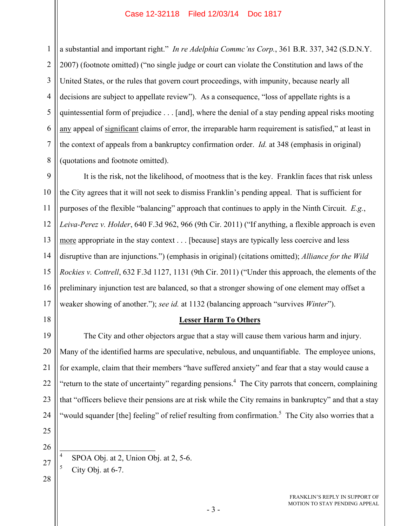1 2 3 4 5 6 7 8 a substantial and important right." *In re Adelphia Commc'ns Corp.*, 361 B.R. 337, 342 (S.D.N.Y. 2007) (footnote omitted) ("no single judge or court can violate the Constitution and laws of the United States, or the rules that govern court proceedings, with impunity, because nearly all decisions are subject to appellate review"). As a consequence, "loss of appellate rights is a quintessential form of prejudice . . . [and], where the denial of a stay pending appeal risks mooting any appeal of significant claims of error, the irreparable harm requirement is satisfied," at least in the context of appeals from a bankruptcy confirmation order. *Id.* at 348 (emphasis in original) (quotations and footnote omitted).

9 10 11 12 13 14 15 16 17 It is the risk, not the likelihood, of mootness that is the key. Franklin faces that risk unless the City agrees that it will not seek to dismiss Franklin's pending appeal. That is sufficient for purposes of the flexible "balancing" approach that continues to apply in the Ninth Circuit. *E.g.*, *Leiva-Perez v. Holder*, 640 F.3d 962, 966 (9th Cir. 2011) ("If anything, a flexible approach is even more appropriate in the stay context . . . [because] stays are typically less coercive and less disruptive than are injunctions.") (emphasis in original) (citations omitted); *Alliance for the Wild Rockies v. Cottrell*, 632 F.3d 1127, 1131 (9th Cir. 2011) ("Under this approach, the elements of the preliminary injunction test are balanced, so that a stronger showing of one element may offset a weaker showing of another."); *see id.* at 1132 (balancing approach "survives *Winter*").

# 18

**Lesser Harm To Others**

19 20 21 22 23 24 The City and other objectors argue that a stay will cause them various harm and injury. Many of the identified harms are speculative, nebulous, and unquantifiable. The employee unions, for example, claim that their members "have suffered anxiety" and fear that a stay would cause a "return to the state of uncertainty" regarding pensions.<sup>4</sup> The City parrots that concern, complaining that "officers believe their pensions are at risk while the City remains in bankruptcy" and that a stay "would squander [the] feeling" of relief resulting from confirmation.<sup>5</sup> The City also worries that a

25 26

28

- 27  $\overline{\phantom{a}}$ 4 SPOA Obj. at 2, Union Obj. at 2, 5-6.
	- 5 City Obj. at 6-7.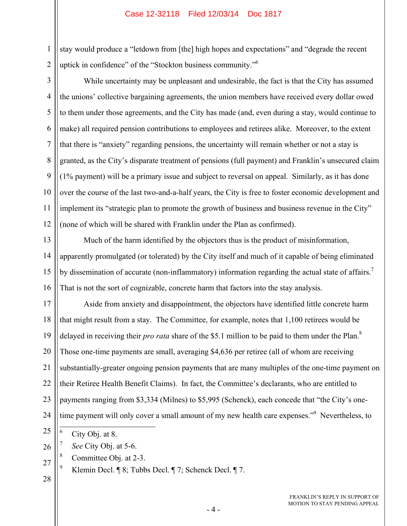1 2 stay would produce a "letdown from [the] high hopes and expectations" and "degrade the recent uptick in confidence" of the "Stockton business community."6

While uncertainty may be unpleasant and undesirable, the fact is that the City has assumed

3

4 5 6 7 8 9 10 11 12 the unions' collective bargaining agreements, the union members have received every dollar owed to them under those agreements, and the City has made (and, even during a stay, would continue to make) all required pension contributions to employees and retirees alike. Moreover, to the extent that there is "anxiety" regarding pensions, the uncertainty will remain whether or not a stay is granted, as the City's disparate treatment of pensions (full payment) and Franklin's unsecured claim (1% payment) will be a primary issue and subject to reversal on appeal. Similarly, as it has done over the course of the last two-and-a-half years, the City is free to foster economic development and implement its "strategic plan to promote the growth of business and business revenue in the City" (none of which will be shared with Franklin under the Plan as confirmed).

13 14 15 16 Much of the harm identified by the objectors thus is the product of misinformation, apparently promulgated (or tolerated) by the City itself and much of it capable of being eliminated by dissemination of accurate (non-inflammatory) information regarding the actual state of affairs.<sup>7</sup> That is not the sort of cognizable, concrete harm that factors into the stay analysis.

17 18 19 20 21 22 23 24 Aside from anxiety and disappointment, the objectors have identified little concrete harm that might result from a stay. The Committee, for example, notes that 1,100 retirees would be delayed in receiving their *pro rata* share of the \$5.1 million to be paid to them under the Plan.<sup>8</sup> Those one-time payments are small, averaging \$4,636 per retiree (all of whom are receiving substantially-greater ongoing pension payments that are many multiples of the one-time payment on their Retiree Health Benefit Claims). In fact, the Committee's declarants, who are entitled to payments ranging from \$3,334 (Milnes) to \$5,995 (Schenck), each concede that "the City's onetime payment will only cover a small amount of my new health care expenses."<sup>9</sup> Nevertheless, to

- 27 8 Committee Obj. at 2-3.
- 9 Klemin Decl. ¶ 8; Tubbs Decl. ¶ 7; Schenck Decl. ¶ 7.
- 28

<sup>25</sup>  $\overline{\phantom{a}}$ 6 City Obj. at 8.

<sup>26</sup> 7 *See* City Obj. at 5-6.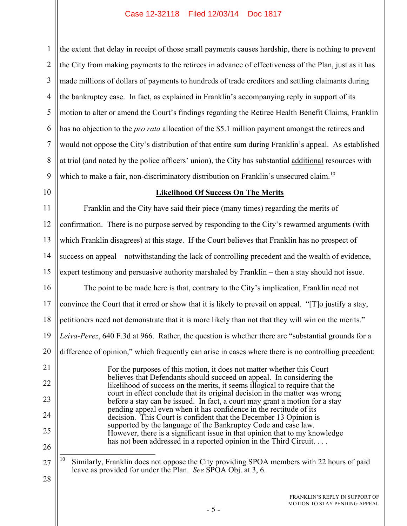1 2 3 4 5 6 7 8 9 the extent that delay in receipt of those small payments causes hardship, there is nothing to prevent the City from making payments to the retirees in advance of effectiveness of the Plan, just as it has made millions of dollars of payments to hundreds of trade creditors and settling claimants during the bankruptcy case. In fact, as explained in Franklin's accompanying reply in support of its motion to alter or amend the Court's findings regarding the Retiree Health Benefit Claims, Franklin has no objection to the *pro rata* allocation of the \$5.1 million payment amongst the retirees and would not oppose the City's distribution of that entire sum during Franklin's appeal. As established at trial (and noted by the police officers' union), the City has substantial additional resources with which to make a fair, non-discriminatory distribution on Franklin's unsecured claim.<sup>10</sup>

10

#### **Likelihood Of Success On The Merits**

11 12 13 14 15 Franklin and the City have said their piece (many times) regarding the merits of confirmation. There is no purpose served by responding to the City's rewarmed arguments (with which Franklin disagrees) at this stage. If the Court believes that Franklin has no prospect of success on appeal – notwithstanding the lack of controlling precedent and the wealth of evidence, expert testimony and persuasive authority marshaled by Franklin – then a stay should not issue.

16 17 18 19 20 21 22 23 24 25 26 The point to be made here is that, contrary to the City's implication, Franklin need not convince the Court that it erred or show that it is likely to prevail on appeal. "[T]o justify a stay, petitioners need not demonstrate that it is more likely than not that they will win on the merits." *Leiva-Perez*, 640 F.3d at 966. Rather, the question is whether there are "substantial grounds for a difference of opinion," which frequently can arise in cases where there is no controlling precedent: For the purposes of this motion, it does not matter whether this Court believes that Defendants should succeed on appeal. In considering the likelihood of success on the merits, it seems illogical to require that the court in effect conclude that its original decision in the matter was wrong before a stay can be issued. In fact, a court may grant a motion for a stay pending appeal even when it has confidence in the rectitude of its decision. This Court is confident that the December 13 Opinion is supported by the language of the Bankruptcy Code and case law. However, there is a significant issue in that opinion that to my knowledge has not been addressed in a reported opinion in the Third Circuit. . . .

27 28 10 Similarly, Franklin does not oppose the City providing SPOA members with 22 hours of paid leave as provided for under the Plan. *See* SPOA Obj. at 3, 6.

> FRANKLIN'S REPLY IN SUPPORT OF MOTION TO STAY PENDING APPEAL